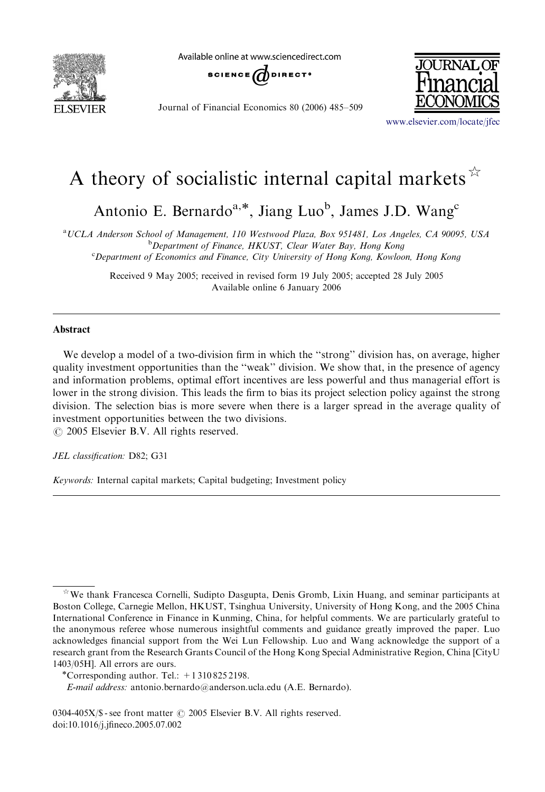

Available online at www.sciencedirect.com



Journal of Financial Economics 80 (2006) 485–509



<www.elsevier.com/locate/jfec>

## A theory of socialistic internal capital markets  $\overrightarrow{r}$

Antonio E. Bernardo<sup>a,\*</sup>, Jiang Luo<sup>b</sup>, James J.D. Wang<sup>c</sup>

a UCLA Anderson School of Management, 110 Westwood Plaza, Box 951481, Los Angeles, CA 90095, USA <sup>b</sup>Department of Finance, HKUST, Clear Water Bay, Hong Kong <sup>c</sup>Department of Economics and Finance, City University of Hong Kong, Kowloon, Hong Kong

> Received 9 May 2005; received in revised form 19 July 2005; accepted 28 July 2005 Available online 6 January 2006

## Abstract

We develop a model of a two-division firm in which the "strong" division has, on average, higher quality investment opportunities than the ''weak'' division. We show that, in the presence of agency and information problems, optimal effort incentives are less powerful and thus managerial effort is lower in the strong division. This leads the firm to bias its project selection policy against the strong division. The selection bias is more severe when there is a larger spread in the average quality of investment opportunities between the two divisions.

 $\odot$  2005 Elsevier B.V. All rights reserved.

JEL classification: D82; G31

Keywords: Internal capital markets; Capital budgeting; Investment policy

 $*$ We thank Francesca Cornelli, Sudipto Dasgupta, Denis Gromb, Lixin Huang, and seminar participants at Boston College, Carnegie Mellon, HKUST, Tsinghua University, University of Hong Kong, and the 2005 China International Conference in Finance in Kunming, China, for helpful comments. We are particularly grateful to the anonymous referee whose numerous insightful comments and guidance greatly improved the paper. Luo acknowledges financial support from the Wei Lun Fellowship. Luo and Wang acknowledge the support of a research grant from the Research Grants Council of the Hong Kong Special Administrative Region, China [CityU 1403/05H]. All errors are ours.<br>
\*Corresponding author. Tel.:  $+13108252198$ .

E-mail address: antonio.bernardo@anderson.ucla.edu (A.E. Bernardo).

 $0304-405X/\$  - see front matter  $\odot$  2005 Elsevier B.V. All rights reserved. doi:10.1016/j.jfineco.2005.07.002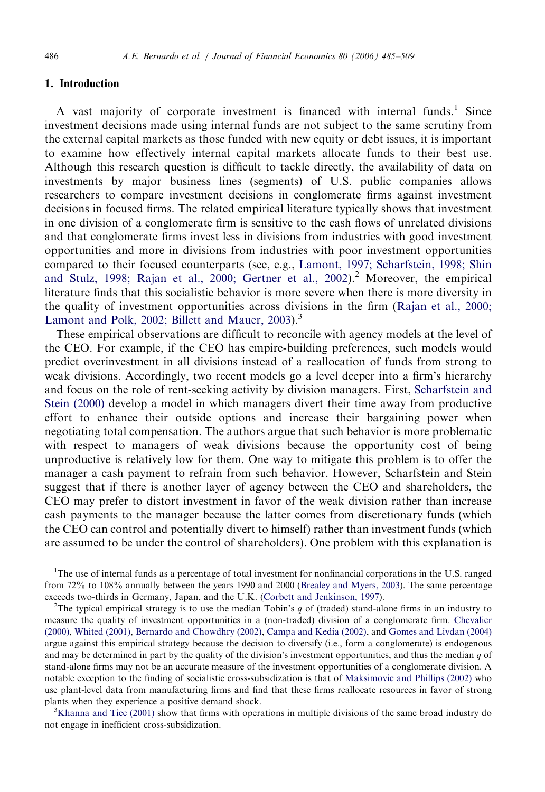## 1. Introduction

A vast majority of corporate investment is financed with internal funds.<sup>1</sup> Since investment decisions made using internal funds are not subject to the same scrutiny from the external capital markets as those funded with new equity or debt issues, it is important to examine how effectively internal capital markets allocate funds to their best use. Although this research question is difficult to tackle directly, the availability of data on investments by major business lines (segments) of U.S. public companies allows researchers to compare investment decisions in conglomerate firms against investment decisions in focused firms. The related empirical literature typically shows that investment in one division of a conglomerate firm is sensitive to the cash flows of unrelated divisions and that conglomerate firms invest less in divisions from industries with good investment opportunities and more in divisions from industries with poor investment opportunities compared to their focused counterparts (see, e.g., [Lamont, 1997; Scharfstein, 1998; Shin](#page--1-0) [and Stulz, 1998; Rajan et al., 2000; Gertner et al., 2002\)](#page--1-0).<sup>2</sup> Moreover, the empirical literature finds that this socialistic behavior is more severe when there is more diversity in the quality of investment opportunities across divisions in the firm ([Rajan et al., 2000;](#page--1-0) [Lamont and Polk, 2002; Billett and Mauer, 2003](#page--1-0)).<sup>3</sup>

These empirical observations are difficult to reconcile with agency models at the level of the CEO. For example, if the CEO has empire-building preferences, such models would predict overinvestment in all divisions instead of a reallocation of funds from strong to weak divisions. Accordingly, two recent models go a level deeper into a firm's hierarchy and focus on the role of rent-seeking activity by division managers. First, [Scharfstein and](#page--1-0) [Stein \(2000\)](#page--1-0) develop a model in which managers divert their time away from productive effort to enhance their outside options and increase their bargaining power when negotiating total compensation. The authors argue that such behavior is more problematic with respect to managers of weak divisions because the opportunity cost of being unproductive is relatively low for them. One way to mitigate this problem is to offer the manager a cash payment to refrain from such behavior. However, Scharfstein and Stein suggest that if there is another layer of agency between the CEO and shareholders, the CEO may prefer to distort investment in favor of the weak division rather than increase cash payments to the manager because the latter comes from discretionary funds (which the CEO can control and potentially divert to himself) rather than investment funds (which are assumed to be under the control of shareholders). One problem with this explanation is

<sup>&</sup>lt;sup>1</sup>The use of internal funds as a percentage of total investment for nonfinancial corporations in the U.S. ranged from 72% to 108% annually between the years 1990 and 2000 [\(Brealey and Myers, 2003](#page--1-0)). The same percentage exceeds two-thirds in Germany, Japan, and the U.K. [\(Corbett and Jenkinson, 1997\)](#page--1-0). <sup>2</sup>

<sup>&</sup>lt;sup>2</sup>The typical empirical strategy is to use the median Tobin's q of (traded) stand-alone firms in an industry to measure the quality of investment opportunities in a (non-traded) division of a conglomerate firm. [Chevalier](#page--1-0) [\(2000\),](#page--1-0) [Whited \(2001\)](#page--1-0), [Bernardo and Chowdhry \(2002\),](#page--1-0) [Campa and Kedia \(2002\),](#page--1-0) and [Gomes and Livdan \(2004\)](#page--1-0) argue against this empirical strategy because the decision to diversify (i.e., form a conglomerate) is endogenous and may be determined in part by the quality of the division's investment opportunities, and thus the median  $q$  of stand-alone firms may not be an accurate measure of the investment opportunities of a conglomerate division. A notable exception to the finding of socialistic cross-subsidization is that of [Maksimovic and Phillips \(2002\)](#page--1-0) who use plant-level data from manufacturing firms and find that these firms reallocate resources in favor of strong plants when they experience a positive demand shock.

 $K<sup>3</sup>K$ hanna and Tice (2001) show that firms with operations in multiple divisions of the same broad industry do not engage in inefficient cross-subsidization.